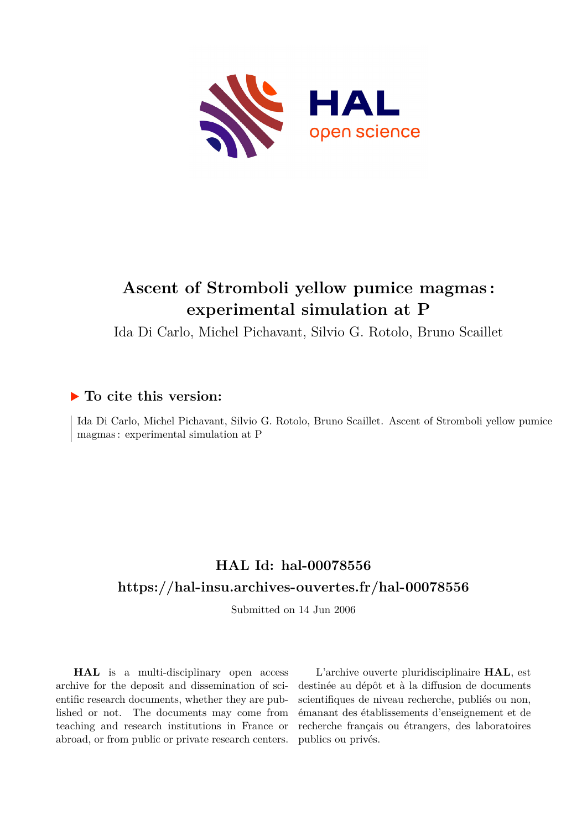

## **Ascent of Stromboli yellow pumice magmas : experimental simulation at P**

Ida Di Carlo, Michel Pichavant, Silvio G. Rotolo, Bruno Scaillet

## **To cite this version:**

Ida Di Carlo, Michel Pichavant, Silvio G. Rotolo, Bruno Scaillet. Ascent of Stromboli yellow pumice magmas : experimental simulation at P

## **HAL Id: hal-00078556 <https://hal-insu.archives-ouvertes.fr/hal-00078556>**

Submitted on 14 Jun 2006

**HAL** is a multi-disciplinary open access archive for the deposit and dissemination of scientific research documents, whether they are published or not. The documents may come from teaching and research institutions in France or abroad, or from public or private research centers.

L'archive ouverte pluridisciplinaire **HAL**, est destinée au dépôt et à la diffusion de documents scientifiques de niveau recherche, publiés ou non, émanant des établissements d'enseignement et de recherche français ou étrangers, des laboratoires publics ou privés.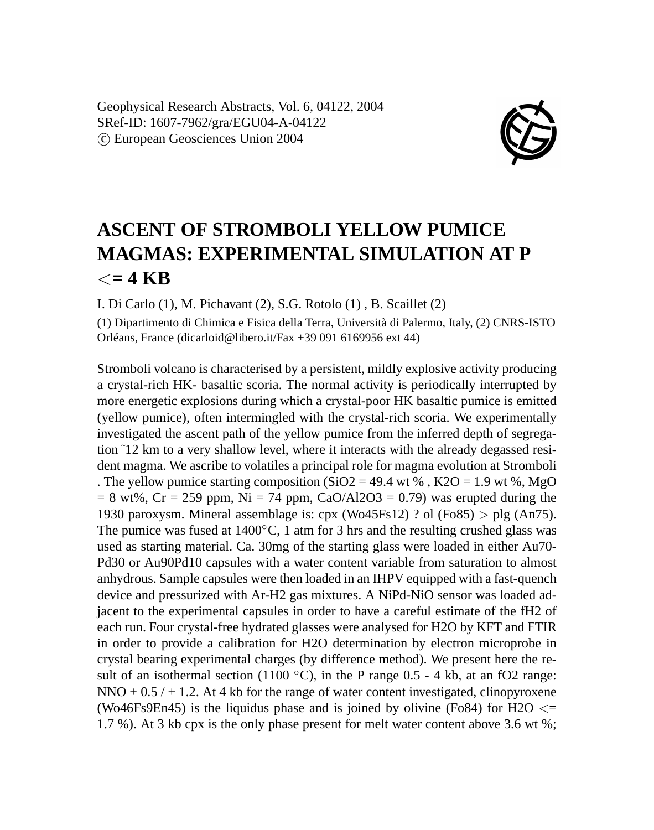

## **ASCENT OF STROMBOLI YELLOW PUMICE MAGMAS: EXPERIMENTAL SIMULATION AT P**  $\epsilon = 4$  KB

I. Di Carlo (1), M. Pichavant (2), S.G. Rotolo (1) , B. Scaillet (2)

(1) Dipartimento di Chimica e Fisica della Terra, Università di Palermo, Italy, (2) CNRS-ISTO Orléans, France (dicarloid@libero.it/Fax +39 091 6169956 ext 44)

Stromboli volcano is characterised by a persistent, mildly explosive activity producing a crystal-rich HK- basaltic scoria. The normal activity is periodically interrupted by more energetic explosions during which a crystal-poor HK basaltic pumice is emitted (yellow pumice), often intermingled with the crystal-rich scoria. We experimentally investigated the ascent path of the yellow pumice from the inferred depth of segregation ˜12 km to a very shallow level, where it interacts with the already degassed resident magma. We ascribe to volatiles a principal role for magma evolution at Stromboli . The yellow pumice starting composition (SiO2 = 49.4 wt %, K2O = 1.9 wt %, MgO  $= 8$  wt%, Cr = 259 ppm, Ni = 74 ppm, CaO/Al2O3 = 0.79) was erupted during the 1930 paroxysm. Mineral assemblage is: cpx (Wo45Fs12) ? ol (Fo85)  $>$  plg (An75). The pumice was fused at  $1400\degree C$ , 1 atm for 3 hrs and the resulting crushed glass was used as starting material. Ca. 30mg of the starting glass were loaded in either Au70- Pd30 or Au90Pd10 capsules with a water content variable from saturation to almost anhydrous. Sample capsules were then loaded in an IHPV equipped with a fast-quench device and pressurized with Ar-H2 gas mixtures. A NiPd-NiO sensor was loaded adjacent to the experimental capsules in order to have a careful estimate of the fH2 of each run. Four crystal-free hydrated glasses were analysed for H2O by KFT and FTIR in order to provide a calibration for H2O determination by electron microprobe in crystal bearing experimental charges (by difference method). We present here the result of an isothermal section (1100  $\degree$ C), in the P range 0.5 - 4 kb, at an fO2 range: NNO  $+ 0.5 / + 1.2$ . At 4 kb for the range of water content investigated, clinopyroxene (Wo46Fs9En45) is the liquidus phase and is joined by olivine (Fo84) for H2O  $\leq$ 1.7 %). At 3 kb cpx is the only phase present for melt water content above 3.6 wt %;